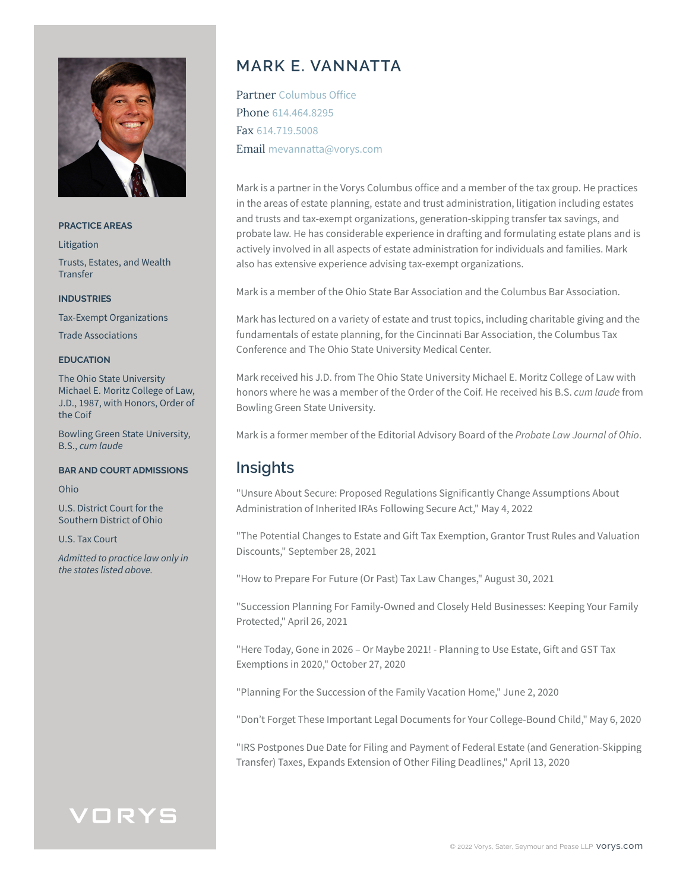

#### **PRACTICE AREAS**

Litigation Trusts, Estates, and Wealth **Transfer** 

### **INDUSTRIES**

Tax-Exempt Organizations

Trade Associations

#### **EDUCATION**

The Ohio State University Michael E. Moritz College of Law, J.D., 1987, with Honors, Order of the Coif

Bowling Green State University, B.S., *cum laude*

### **BAR AND COURT ADMISSIONS**

Ohio

U.S. District Court for the Southern District of Ohio

U.S. Tax Court

*Admitted to practice law only in the states listed above.*

## **MARK E. VANNATTA**

Partner Columbus Office Phone 614.464.8295 Fax 614.719.5008 Email mevannatta@vorys.com

Mark is a partner in the Vorys Columbus office and a member of the tax group. He practices in the areas of estate planning, estate and trust administration, litigation including estates and trusts and tax-exempt organizations, generation-skipping transfer tax savings, and probate law. He has considerable experience in drafting and formulating estate plans and is actively involved in all aspects of estate administration for individuals and families. Mark also has extensive experience advising tax-exempt organizations.

Mark is a member of the Ohio State Bar Association and the Columbus Bar Association.

Mark has lectured on a variety of estate and trust topics, including charitable giving and the fundamentals of estate planning, for the Cincinnati Bar Association, the Columbus Tax Conference and The Ohio State University Medical Center.

Mark received his J.D. from The Ohio State University Michael E. Moritz College of Law with honors where he was a member of the Order of the Coif. He received his B.S. *cum laude* from Bowling Green State University.

Mark is a former member of the Editorial Advisory Board of the *Probate Law Journal of Ohio*.

## **Insights**

"Unsure About Secure: Proposed Regulations Significantly Change Assumptions About Administration of Inherited IRAs Following Secure Act," May 4, 2022

"The Potential Changes to Estate and Gift Tax Exemption, Grantor Trust Rules and Valuation Discounts," September 28, 2021

"How to Prepare For Future (Or Past) Tax Law Changes," August 30, 2021

"Succession Planning For Family-Owned and Closely Held Businesses: Keeping Your Family Protected," April 26, 2021

"Here Today, Gone in 2026 – Or Maybe 2021! - Planning to Use Estate, Gift and GST Tax Exemptions in 2020," October 27, 2020

"Planning For the Succession of the Family Vacation Home," June 2, 2020

"Don't Forget These Important Legal Documents for Your College-Bound Child," May 6, 2020

"IRS Postpones Due Date for Filing and Payment of Federal Estate (and Generation-Skipping Transfer) Taxes, Expands Extension of Other Filing Deadlines," April 13, 2020

## VORYS